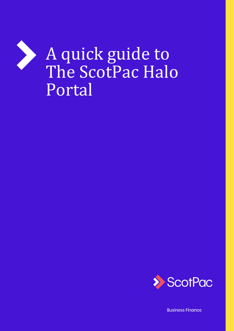



**Business Finance**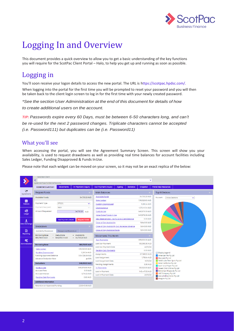

# Logging In and Overview

This document provides a quick overview to allow you to get a basic understanding of the key functions you will require for the ScotPac Client Portal – Halo, to help you get up and running as soon as possible.

## Logging in

You'll soon receive your logon details to access the new portal. The URL is https://scotpac.hpdsc.com/.

When logging into the portal for the first time you will be prompted to reset your password and you will then be taken back to the client login screen to log in for the first time with your newly created password.

*\*See the section User Administration at the end of this document for details ofhow* 

*to create additional users on the account.*

*TIP: Passwords expire every 60 Days, must be between 6-50 characters long, and can't be re-used for the next 2 password changes. Triplicate characters cannot be accepted (i.e. Password111) but duplicates can be (i.e. Password11)*

#### What you'll see

When accessing the portal, you will see the Agreement Summary Screen. This screen will show you your availability, is used to request drawdowns as well as providing real time balances for account facilities including Sales Ledger, Funding Disapproved & Funds InUse.

Please note that each widget can be moved on your screen, so it may not be an exact replica of the below:

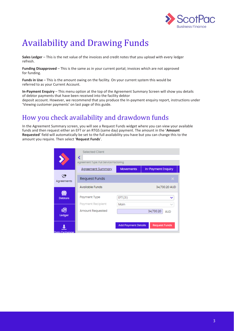

# Availability and Drawing Funds

**Sales Ledger** – This is the net value of the invoices and credit notes that you upload with every ledger refresh.

**Funding Disapproved** – This is the same as in your current portal; invoices which are not approved for funding.

**Funds in Use** – This is the amount owing on the facility. On your current system this would be referred to as your Current Account.

**In-Payment Enquiry** – This menu option at the top of the Agreement Summary Screen will show you details of debtor payments that have been received into the facility debtor deposit account. However, we recommend that you produce the In-payment enquiry report, instructions under 'Viewing customer payments' on last page of this guide.

# How you check availability and drawdown funds

In the Agreement Summary screen, you will see a Request Funds widget where you can view your available funds and then request either an EFT or an RTGS (same day) payment. The amount in the '**Amount Requested**' field will automatically be set to the full availability you have but you can change this to the amount you require. Then select '**Request Funds**'.

|                | <b>Selected Client</b><br>∢<br>Agreement Type: Full Service Factoring |                            |                         |
|----------------|-----------------------------------------------------------------------|----------------------------|-------------------------|
|                | <b>Agreement Summary</b>                                              | <b>Movements</b>           | In-Payment Enquiry      |
| Agreements     | <b>Request Funds</b>                                                  |                            | $\times$                |
|                | <b>Available Funds</b>                                                |                            | 34,730.20 AUD           |
| <b>Debtors</b> | Payment Type                                                          | EFT(31)                    | v                       |
| 歸              | Payment Recipient                                                     | Main                       |                         |
| Ledger         | Amount Requested                                                      |                            | 34,730.20<br><b>AUD</b> |
| Data Exchange  |                                                                       | <b>Add Payment Details</b> | <b>Request Funds</b>    |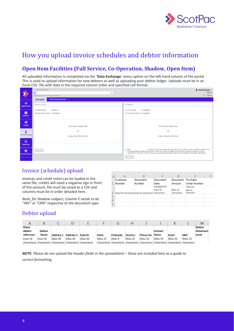

# How you upload invoice schedules and debtor information

#### **Open Item Facilities (Full Service, Co-Operation, Shadow, Open Item)**

All uploaded information is completed via the '**Data Exchange**' menu option on the left-hand column of the portal. This is used to upload information for new debtors as well as uploading your debtor ledger. Uploads must be in an Excel CSV. file with data in the required column order and specified cell format.

|                       | Selected Client                                    | L clientmanager                                                                                                                                                                                                                         |
|-----------------------|----------------------------------------------------|-----------------------------------------------------------------------------------------------------------------------------------------------------------------------------------------------------------------------------------------|
|                       | $\checkmark$                                       | Logout                                                                                                                                                                                                                                  |
|                       | Agreement Type: Full Service Factoring             | $40 =$                                                                                                                                                                                                                                  |
|                       | <b>File Upload</b><br><b>Portal Help Resources</b> |                                                                                                                                                                                                                                         |
|                       |                                                    |                                                                                                                                                                                                                                         |
| $\circledcirc$        | Debtor upload                                      | Schedules                                                                                                                                                                                                                               |
| Agreements            |                                                    |                                                                                                                                                                                                                                         |
|                       | <b>Format Name</b><br><b>Debtorss</b>              | <b>Format Name</b><br>Schedules                                                                                                                                                                                                         |
| 帶                     | Format Description AUDebtors                       | Format Description Schedules                                                                                                                                                                                                            |
| <b>Debtors</b>        |                                                    |                                                                                                                                                                                                                                         |
|                       |                                                    |                                                                                                                                                                                                                                         |
|                       |                                                    |                                                                                                                                                                                                                                         |
| 翻                     |                                                    |                                                                                                                                                                                                                                         |
| Ledger                | Click here to select files                         | Click here to select files                                                                                                                                                                                                              |
|                       |                                                    |                                                                                                                                                                                                                                         |
|                       | OR                                                 | <b>OR</b>                                                                                                                                                                                                                               |
| Data Exchange         |                                                    |                                                                                                                                                                                                                                         |
|                       | Drag & Drop the files here                         | Drag & Drop the files here                                                                                                                                                                                                              |
|                       |                                                    |                                                                                                                                                                                                                                         |
| 目                     |                                                    |                                                                                                                                                                                                                                         |
| Reporting             |                                                    |                                                                                                                                                                                                                                         |
|                       |                                                    | $\Box$ We,                                                                                                                                                                                                                              |
| ୦୧                    | Submit                                             | ) We,<br>the attached invoices, and comfirm that we have compiled with the terms and conditions of that<br>the attached invoices, and comfirm that we have compiled with the terms and conditions of that<br>agreement. We also confirm |
| <b>Administration</b> |                                                    |                                                                                                                                                                                                                                         |
|                       |                                                    | Submit                                                                                                                                                                                                                                  |
|                       |                                                    |                                                                                                                                                                                                                                         |

#### Invoice (schedule) upload

Invoices and credit notes can be loaded in the same file, credits will need a negative sign in front of the amount, file must be saved as a CSV and columns must be in order detailed here.

*Note, for Shadow Ledgers, Column E needs to be "INV" or "CRN" respective to the document type.* 

|                | А                  | в                                                   | C.                     | D                      | E                                  |  |
|----------------|--------------------|-----------------------------------------------------|------------------------|------------------------|------------------------------------|--|
| 1              | Customer<br>Number | Document<br>Number                                  | Document<br>Date       | Document<br>Amount     | Purchase<br>Order Number           |  |
| $\overline{2}$ |                    | (max 30 characters) (max 12 characters) characters) | DD/MM/YYYY<br>(max 10) | (Max 14<br>characters) | Optional<br>(Max 15<br>Characters) |  |
| 3              |                    |                                                     |                        |                        |                                    |  |
| 4              |                    |                                                     |                        |                        |                                    |  |
| 5              |                    |                                                     |                        |                        |                                    |  |

#### Debtor upload

|                               |                |          |                            |                                                             |          | G        | Н        |                                                                                    |         |          |            | M                            |
|-------------------------------|----------------|----------|----------------------------|-------------------------------------------------------------|----------|----------|----------|------------------------------------------------------------------------------------|---------|----------|------------|------------------------------|
| Client<br>debtor<br>reference | Debtor<br>Name |          | Address 1 Address 2 Suburb |                                                             | State    | Postcode | Country  | Phone No Name                                                                      | Contact | Email    | <b>ABN</b> | Debtor<br>Statement<br>email |
| (max30                        | $\frac{1}{2}$  | (Max 40) | (Max 40)                   | (Max 40)                                                    | (Max 25) | (Max 4   | (Max 20) | (Max 20)                                                                           | (Max30) | (Max 50) | (Max 14)   |                              |
|                               |                |          |                            | characters) characters) characters) characters) characters) |          |          |          | characters) characters) characters) characters) characters) characters) characters |         |          |            |                              |

*NOTE*: Please do not upload the header fields in the spreadsheet – these are included here as a guide to *correct formatting.*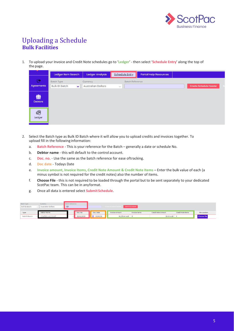

### Uploading a Schedule **Bulk Facilities**

1. To upload your Invoice and Credit Note schedules go to '**Ledger**' - then select '**Schedule Entry**' along the top of the page.

|                            | Ledger Item Search                                        | Ledger Analysis                       | <b>Schedule Entry</b>                   | <b>Portal Help Resources</b> |                               |  |
|----------------------------|-----------------------------------------------------------|---------------------------------------|-----------------------------------------|------------------------------|-------------------------------|--|
| $\mathbf{C}$<br>Agreements | <b>Batch Type</b><br><b>Bulk ID Batch</b><br>$\checkmark$ | Currency<br><b>Australian Dollars</b> | <b>Batch Reference</b><br>$\mathcal{A}$ |                              | <b>Create Schedule Header</b> |  |
| Ŵ<br><b>Debtors</b>        |                                                           |                                       |                                         |                              |                               |  |
| €<br>Ledger                |                                                           |                                       |                                         |                              |                               |  |

- 2. Select the Batch type as Bulk ID Batch where it will allow you to upload credits and invoices together. To upload fill in the following information:
	- a. **Batch Reference** This is your reference for the Batch generally a date or schedule No.
	- b. **Debtor name**  this will default to the control account.
	- c. **Doc. no.**  Use the same as the batch reference for ease oftracking.
	- d. **Doc date**  Todays Date
	- e. **Invoice amount, Invoice Items, Credit Note Amount & Credit Note Items** Enter the bulk value of each (a minus symbol is not required for the credit notes) also the number of items.
	- f. **Choose File** this is not required to be loaded through the portal but to be sent separately to your dedicated ScotPac team. This can be in anyformat.
	- g. Once all data is entered select **SubmitSchedule**.

| Batch Type<br><b>Bulk ID Batch</b> | Currency<br><b>Australian Dollars</b> | <b>Batch Reference</b><br> 123 |            |                | Create Schedule Header | Submit Schedule |                           |                   |               |
|------------------------------------|---------------------------------------|--------------------------------|------------|----------------|------------------------|-----------------|---------------------------|-------------------|---------------|
| Type                               | Debtor Name                           |                                | Doc. No.   | Doc. Date      | Invoice Amount         | Invoice Items   | <b>Credit Note Amount</b> | Credit Note Items | File Location |
| Bulk ID Batch                      | CONTROL ACCOUNT                       |                                | 22/10/2020 | 22/10/20<br>e. | 10,235.41 AUD 5        |                 | 20.00 AUD                 |                   | Choose File   |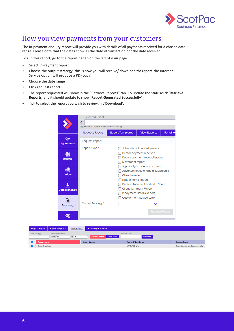

## How you view payments from your customers

The In-payment enquiry report will provide you with details of all payments received for a chosen date range. Please note that the dates show as the date oftransaction not the date received.

To run this report, go to the reporting tab on the left of your page:

- Select In-Payment report
- Choose the output strategy (this is how you will receive/ download thereport, the Internet Service option will produce a PDF copy)
- Choose the date range
- Click request report
- The report requested will show in the "Retrieve Reports" tab. To update the statusclick '**Retrieve Reports**' and it should update to show '**Report Generated Successfully**'
- Tick to select the report you wish to review, hit'**Download**'.

|                | <b>Selected Client</b>                 |                         |                                    |                  |  |  |  |  |
|----------------|----------------------------------------|-------------------------|------------------------------------|------------------|--|--|--|--|
|                | Agreement Type: Full Service Factoring |                         |                                    |                  |  |  |  |  |
|                | <b>Request Report</b>                  | <b>Report Templates</b> | <b>View Reports</b>                | <b>Portal He</b> |  |  |  |  |
| Agreements     | <b>Request Report</b>                  |                         |                                    |                  |  |  |  |  |
|                | Report Type <sup>*</sup>               |                         | Schedule acknowledgement           |                  |  |  |  |  |
|                |                                        |                         | Debtor payment received            |                  |  |  |  |  |
| <b>Debtors</b> | Debtor payment reconciliations         |                         |                                    |                  |  |  |  |  |
|                |                                        | Movement report         |                                    |                  |  |  |  |  |
|                |                                        |                         | Age analysis - debtor account      |                  |  |  |  |  |
|                |                                        |                         | Advance notice of age disapprovals |                  |  |  |  |  |
| Ledger         |                                        | <b>Client Invoice</b>   |                                    |                  |  |  |  |  |
|                |                                        | Ledger Items Report     |                                    |                  |  |  |  |  |
|                |                                        |                         | Debtor Statement Portrait - SPAU   |                  |  |  |  |  |
| Data Exchange  |                                        |                         | <b>Client Summary Report</b>       |                  |  |  |  |  |
|                |                                        |                         | Inpayment Details Report           |                  |  |  |  |  |
|                |                                        |                         | OutPayment Advice Letter           |                  |  |  |  |  |
| Reporting      | Output Strategy *                      |                         |                                    |                  |  |  |  |  |
|                |                                        |                         | <b>Request Report</b>              |                  |  |  |  |  |
|                |                                        |                         |                                    |                  |  |  |  |  |

|                        | <b>Request Report</b> | <b>Report Templates</b>                                   | <b>View Reports</b> | <b>Portal Help Resources</b> |                     |                                  |                               |
|------------------------|-----------------------|-----------------------------------------------------------|---------------------|------------------------------|---------------------|----------------------------------|-------------------------------|
| <b>Output Strategy</b> |                       | <b>Reports Requested</b><br>From <b>m</b><br>$\checkmark$ | To m                | <b>Retrieve Reports</b>      | <b>Clear Errors</b> | <b>Report Format</b><br>Download |                               |
|                        | <b>Report Name</b>    |                                                           |                     | <b>Report Number</b>         |                     | <b>Request Timestamp</b>         | <b>Request Status</b>         |
|                        | Open Invoices         |                                                           |                     |                              |                     | 31/08/20 12:13                   | Report generated successfully |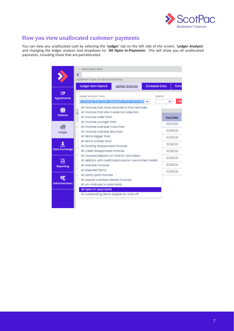

#### How you view unallocated customer payments

You can view any unallocated cash by selecting the '**Ledger**' tab on the left side of the screen, '**Ledger Analysis**' and changing the ledger analysis tool dropdown to: '**All Open In-Payments**'. This will show you all unallocated payments, including those that are partallocated.

|                       | <b>Selected Client</b><br>∢                                                                                                  |                      |                                  |          |  |  |  |
|-----------------------|------------------------------------------------------------------------------------------------------------------------------|----------------------|----------------------------------|----------|--|--|--|
|                       | Agreement Type: Full Service Factoring                                                                                       |                      |                                  |          |  |  |  |
|                       | Ledger Item Search                                                                                                           | Ledger Analysis      | <b>Schedule Entry</b>            | Porta    |  |  |  |
| Agreements            | <b>Ledger Analysis Tools</b><br>I invoices that have received a final reminder v                                             |                      | <b>Branch</b>                    |          |  |  |  |
| tO.<br><b>Debtors</b> | All invoices that have received a final reminder<br>All invoices that are in external collection<br>All invoices older than  |                      |                                  | Due Date |  |  |  |
| Ledger                | All invoices younger than<br>All invoices overdue more than<br>All invoices overdue less than<br>All items bigger than       |                      | 31/07/20<br>31/08/20<br>31/08/20 |          |  |  |  |
| <b>Data Exchange</b>  | All items smaller than<br>All funding disapproved invoices<br>All credit disapproved invoices                                |                      |                                  |          |  |  |  |
| <b>Reporting</b>      | All invoices/debtors on hold for reminders<br>All debtors with credit balances/un-reconciled credits<br>All overdue invoices | 31/08/20<br>31/08/20 |                                  |          |  |  |  |
| Administration        | All disputed items<br>All partly paid invoices<br>All unpaid overdue interest invoices<br>All un-matured in-payments         |                      |                                  | 31/08/20 |  |  |  |
|                       | All open in-payments<br>All outstanding items eligible for write off                                                         |                      |                                  |          |  |  |  |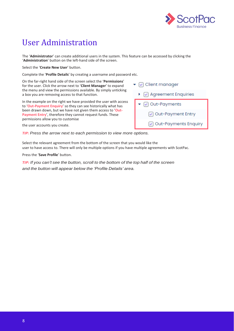

# User Administration

The '**Administrator**' can create additional users in the system. This feature can be accessed by clicking the '**Administration**' button on the left-hand side of the screen.

Select the '**Create New User**' button.

Complete the '**Profile Details**' by creating a username and password etc.

On the far-right hand side of the screen select the '**Permissions**' for the user. Click the arrow next to '**Client Manager**' to expand the menu and view the permissions available. By simply unticking a box you are removing access to that function.

In the example on the right we have provided the user with access to '**Out-Payment Enquiry**' so they can see historically what has been drawn down, but we have not given them access to '**Out-Payment Entry**', therefore they cannot request funds. These permissions allow you to customise

the user accounts you create.

*TIP:* Press the arrow next to each permission to view more options.

Select the relevant agreement from the bottom of the screen that you would like the user to have access to. There will only be multiple options if you have multiple agreements with ScotPac.

Press the '**Save Profile**' button.

*TIP: If you can't see the button, scroll to the bottom of the top half of the screen and the button will appear below the 'Profile Details' area.*

 $\blacktriangleright$   $\lnot$  Client manager  $\sqrt{ }$  Agreement Enquiries ◯ Out-Payments Out-Payment Entry Out-Payments Enquiry